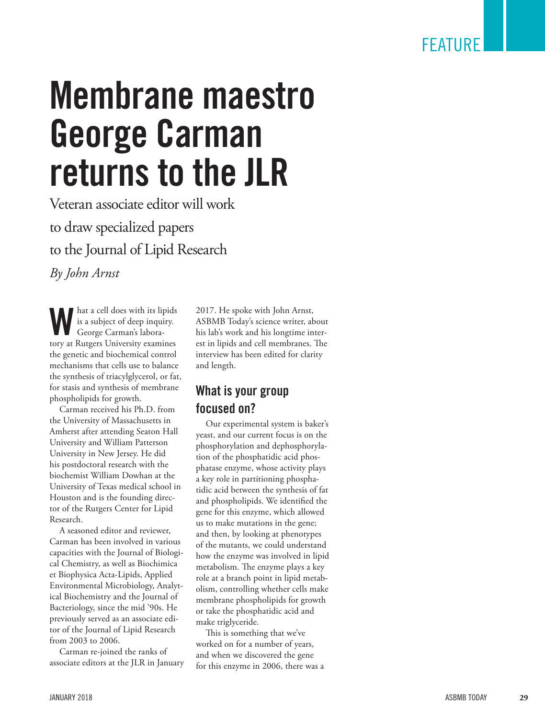# **Membrane maestro George Carman returns to the JLR**

Veteran associate editor will work to draw specialized papers to the Journal of Lipid Research

*By John Arnst*

**W** hat a cell does with its lipids<br>is a subject of deep inquiry.<br>George Carman's laborais a subject of deep inquiry. George Carman's labora tory at Rutgers University examines the genetic and biochemical control mechanisms that cells use to balance the synthesis of triacylglycerol, or fat, for stasis and synthesis of membrane phospholipids for growth.

Carman received his Ph.D. from the University of Massachusetts in Amherst after attending Seaton Hall University and William Patterson University in New Jersey. He did his postdoctoral research with the biochemist William Dowhan at the University of Texas medical school in Houston and is the founding direc tor of the Rutgers Center for Lipid Research.

A seasoned editor and reviewer, Carman has been involved in various capacities with the Journal of Biologi cal Chemistry, as well as Biochimica et Biophysica Acta-Lipids, Applied Environmental Microbiology, Analyt ical Biochemistry and the Journal of Bacteriology, since the mid '90s. He previously served as an associate edi tor of the Journal of Lipid Research from 2003 to 2006.

Carman re-joined the ranks of associate editors at the JLR in January 2017. He spoke with John Arnst, ASBMB Today's science writer, about his lab's work and his longtime inter est in lipids and cell membranes. The interview has been edited for clarity and length.

#### **What is your group focused on?**

Our experimental system is baker's yeast, and our current focus is on the phosphorylation and dephosphoryla tion of the phosphatidic acid phos phatase enzyme, whose activity plays a key role in partitioning phospha tidic acid between the synthesis of fat and phospholipids. We identified the gene for this enzyme, which allowed us to make mutations in the gene; and then, by looking at phenotypes of the mutants, we could understand how the enzyme was involved in lipid metabolism. The enzyme plays a key role at a branch point in lipid metab olism, controlling whether cells make membrane phospholipids for growth or take the phosphatidic acid and make triglyceride.

This is something that we've worked on for a number of years, and when we discovered the gene for this enzyme in 2006, there was a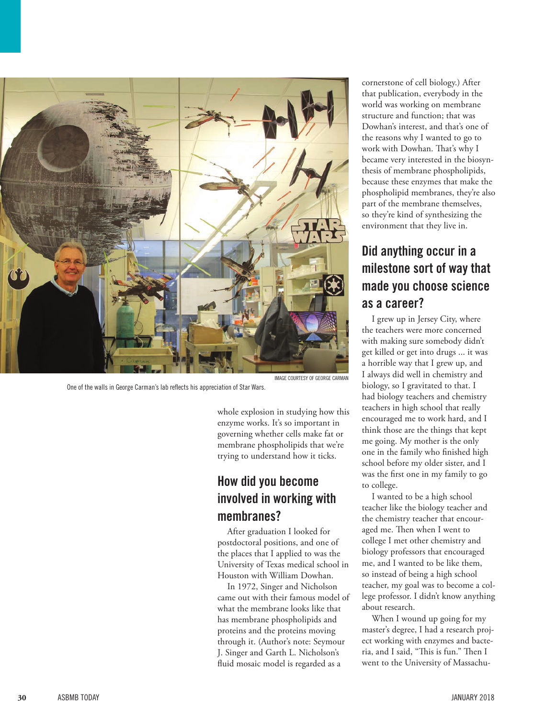

One of the walls in George Carman's lab reflects his appreciation of Star Wars.

IMAGE COURTESY OF GEORGE CARMAN

whole explosion in studying how this enzyme works. It's so important in governing whether cells make fat or membrane phospholipids that we're trying to understand how it ticks.

#### **How did you become involved in working with membranes?**

After graduation I looked for postdoctoral positions, and one of the places that I applied to was the University of Texas medical school in Houston with William Dowhan.

In 1972, Singer and Nicholson came out with their famous model of what the membrane looks like that has membrane phospholipids and proteins and the proteins moving through it. (Author's note: Seymour J. Singer and Garth L. Nicholson's fluid mosaic model is regarded as a

cornerstone of cell biology.) After that publication, everybody in the world was working on membrane structure and function; that was Dowhan's interest, and that's one of the reasons why I wanted to go to work with Dowhan. That's why I became very interested in the biosynthesis of membrane phospholipids, because these enzymes that make the phospholipid membranes, they're also part of the membrane themselves, so they're kind of synthesizing the environment that they live in.

## **Did anything occur in a milestone sort of way that made you choose science as a career?**

I grew up in Jersey City, where the teachers were more concerned with making sure somebody didn't get killed or get into drugs ... it was a horrible way that I grew up, and I always did well in chemistry and biology, so I gravitated to that. I had biology teachers and chemistry teachers in high school that really encouraged me to work hard, and I think those are the things that kept me going. My mother is the only one in the family who finished high school before my older sister, and I was the first one in my family to go to college.

I wanted to be a high school teacher like the biology teacher and the chemistry teacher that encouraged me. Then when I went to college I met other chemistry and biology professors that encouraged me, and I wanted to be like them, so instead of being a high school teacher, my goal was to become a college professor. I didn't know anything about research.

When I wound up going for my master's degree, I had a research project working with enzymes and bacteria, and I said, "This is fun." Then I went to the University of Massachu